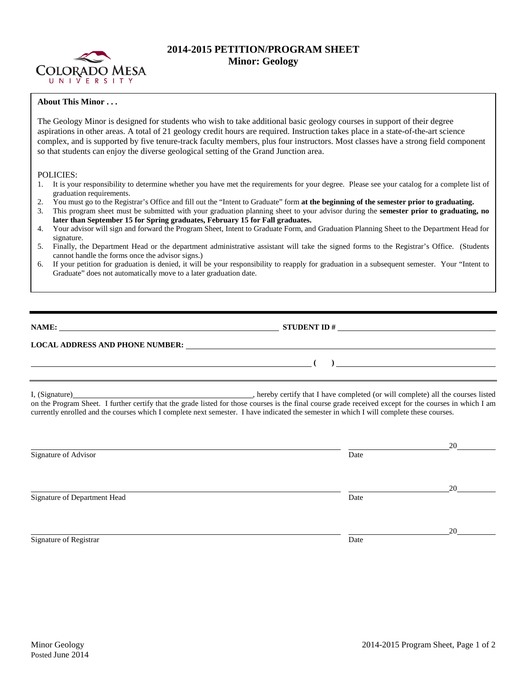

## **2014-2015 PETITION/PROGRAM SHEET Minor: Geology**

## **About This Minor . . .**

The Geology Minor is designed for students who wish to take additional basic geology courses in support of their degree aspirations in other areas. A total of 21 geology credit hours are required. Instruction takes place in a state-of-the-art science complex, and is supported by five tenure-track faculty members, plus four instructors. Most classes have a strong field component so that students can enjoy the diverse geological setting of the Grand Junction area.

## POLICIES:

- 1. It is your responsibility to determine whether you have met the requirements for your degree. Please see your catalog for a complete list of graduation requirements.
- 2. You must go to the Registrar's Office and fill out the "Intent to Graduate" form **at the beginning of the semester prior to graduating.**
- 3. This program sheet must be submitted with your graduation planning sheet to your advisor during the **semester prior to graduating, no later than September 15 for Spring graduates, February 15 for Fall graduates.**
- 4. Your advisor will sign and forward the Program Sheet, Intent to Graduate Form, and Graduation Planning Sheet to the Department Head for signature.
- 5. Finally, the Department Head or the department administrative assistant will take the signed forms to the Registrar's Office. (Students cannot handle the forms once the advisor signs.)
- 6. If your petition for graduation is denied, it will be your responsibility to reapply for graduation in a subsequent semester. Your "Intent to Graduate" does not automatically move to a later graduation date.

| <b>NAME:</b> |  |  |
|--------------|--|--|
|              |  |  |

**NAMES IDENT ID #** 

**( )** 

## **LOCAL ADDRESS AND PHONE NUMBER:**

I, (Signature) and the completed (or will completed (or will complete) all the courses listed on the Program Sheet. I further certify that the grade listed for those courses is the final course grade received except for the courses in which I am currently enrolled and the courses which I complete next semester. I have indicated the semester in which I will complete these courses.

|                              |      | 20 |
|------------------------------|------|----|
| Signature of Advisor         | Date |    |
|                              |      |    |
|                              |      | 20 |
| Signature of Department Head | Date |    |
|                              |      |    |
|                              |      | 20 |
| Signature of Registrar       | Date |    |
|                              |      |    |